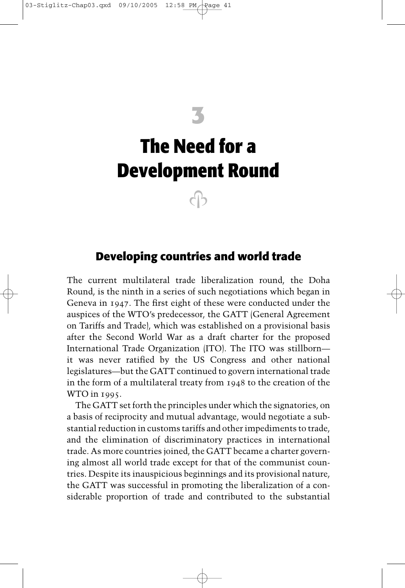

# **The Need for a Development Round** <u> ආ</u>

# **Developing countries and world trade**

The current multilateral trade liberalization round, the Doha Round, is the ninth in a series of such negotiations which began in Geneva in 1947. The first eight of these were conducted under the auspices of the WTO's predecessor, the GATT (General Agreement on Tariffs and Trade), which was established on a provisional basis after the Second World War as a draft charter for the proposed International Trade Organization (ITO). The ITO was stillborn it was never ratified by the US Congress and other national legislatures—but the GATT continued to govern international trade in the form of a multilateral treaty from 1948 to the creation of the WTO in 1995.

The GATT set forth the principles under which the signatories, on a basis of reciprocity and mutual advantage, would negotiate a substantial reduction in customs tariffs and other impediments to trade, and the elimination of discriminatory practices in international trade. As more countries joined, the GATT became a charter governing almost all world trade except for that of the communist countries. Despite its inauspicious beginnings and its provisional nature, the GATT was successful in promoting the liberalization of a considerable proportion of trade and contributed to the substantial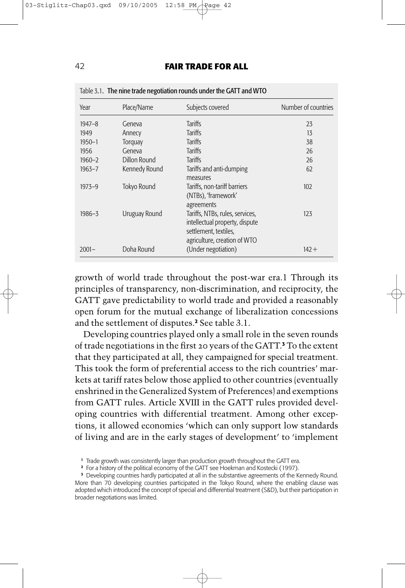| Table 3.1. The nine trade negotiation rounds under the GATT and WTO |               |                                                                                                                            |                     |
|---------------------------------------------------------------------|---------------|----------------------------------------------------------------------------------------------------------------------------|---------------------|
| Year                                                                | Place/Name    | Subjects covered                                                                                                           | Number of countries |
| $1947 - 8$                                                          | Geneva        | Tariffs                                                                                                                    | 23                  |
| 1949                                                                | Annecy        | Tariffs                                                                                                                    | 13                  |
| $1950 - 1$                                                          | Torquay       | Tariffs                                                                                                                    | 38                  |
| 1956                                                                | Geneva        | Tariffs                                                                                                                    | 26                  |
| $1960 - 2$                                                          | Dillon Round  | <b>Tariffs</b>                                                                                                             | 26                  |
| $1963 - 7$                                                          | Kennedy Round | Tariffs and anti-dumping<br>measures                                                                                       | 62                  |
| $1973 - 9$                                                          | Tokyo Round   | Tariffs, non-tariff barriers<br>(NTBs), 'framework'<br>agreements                                                          | 102                 |
| $1986 - 3$                                                          | Uruguay Round | Tariffs, NTBs, rules, services,<br>intellectual property, dispute<br>settlement, textiles,<br>agriculture, creation of WTO | 123                 |
| $2001 -$                                                            | Doha Round    | (Under negotiation)                                                                                                        | $142 +$             |

growth of world trade throughout the post-war era.1 Through its principles of transparency, non-discrimination, and reciprocity, the GATT gave predictability to world trade and provided a reasonably open forum for the mutual exchange of liberalization concessions and the settlement of disputes.**<sup>2</sup>** See table 3.1.

Developing countries played only a small role in the seven rounds of trade negotiations in the first 20 years of the GATT.**<sup>3</sup>** To the extent that they participated at all, they campaigned for special treatment. This took the form of preferential access to the rich countries' markets at tariff rates below those applied to other countries (eventually enshrined in the Generalized System of Preferences) and exemptions from GATT rules. Article XVIII in the GATT rules provided developing countries with differential treatment. Among other exceptions, it allowed economies 'which can only support low standards of living and are in the early stages of development' to 'implement

42 **FAIR TRADE FOR ALL**

**<sup>1</sup>** Trade growth was consistently larger than production growth throughout the GATT era.

**<sup>2</sup>** For a history of the political economy of the GATT see Hoekman and Kostecki (1997).

**<sup>3</sup>** Developing countries hardly participated at all in the substantive agreements of the Kennedy Round. More than 70 developing countries participated in the Tokyo Round, where the enabling clause was adopted which introduced the concept of special and differential treatment (S&D), but their participation in broader negotiations was limited.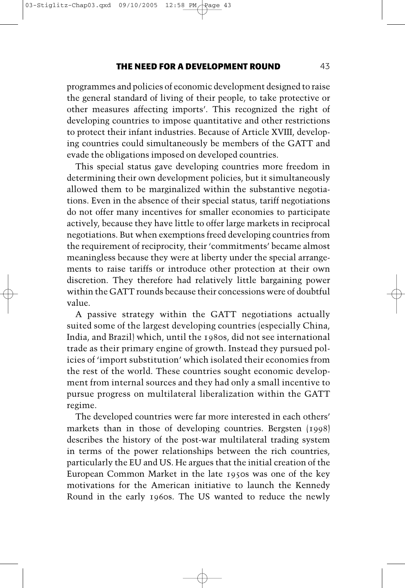03-Stiglitz-Chap03.qxd 09/10/2005 12:58 PM Rage 43

programmes and policies of economic development designed to raise the general standard of living of their people, to take protective or other measures affecting imports'. This recognized the right of developing countries to impose quantitative and other restrictions to protect their infant industries. Because of Article XVIII, developing countries could simultaneously be members of the GATT and evade the obligations imposed on developed countries.

This special status gave developing countries more freedom in determining their own development policies, but it simultaneously allowed them to be marginalized within the substantive negotiations. Even in the absence of their special status, tariff negotiations do not offer many incentives for smaller economies to participate actively, because they have little to offer large markets in reciprocal negotiations. But when exemptions freed developing countries from the requirement of reciprocity, their 'commitments' became almost meaningless because they were at liberty under the special arrangements to raise tariffs or introduce other protection at their own discretion. They therefore had relatively little bargaining power within the GATT rounds because their concessions were of doubtful value.

A passive strategy within the GATT negotiations actually suited some of the largest developing countries (especially China, India, and Brazil) which, until the 1980s, did not see international trade as their primary engine of growth. Instead they pursued policies of 'import substitution' which isolated their economies from the rest of the world. These countries sought economic development from internal sources and they had only a small incentive to pursue progress on multilateral liberalization within the GATT regime.

The developed countries were far more interested in each others' markets than in those of developing countries. Bergsten (1998) describes the history of the post-war multilateral trading system in terms of the power relationships between the rich countries, particularly the EU and US. He argues that the initial creation of the European Common Market in the late 1950s was one of the key motivations for the American initiative to launch the Kennedy Round in the early 1960s. The US wanted to reduce the newly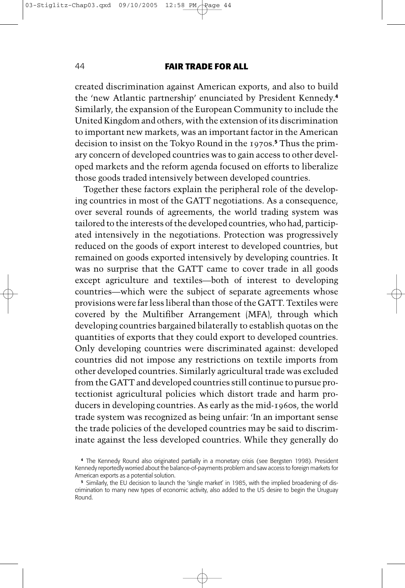created discrimination against American exports, and also to build the 'new Atlantic partnership' enunciated by President Kennedy.**<sup>4</sup>** Similarly, the expansion of the European Community to include the United Kingdom and others, with the extension of its discrimination to important new markets, was an important factor in the American decision to insist on the Tokyo Round in the 1970s.**<sup>5</sup>** Thus the primary concern of developed countries was to gain access to other developed markets and the reform agenda focused on efforts to liberalize those goods traded intensively between developed countries.

Together these factors explain the peripheral role of the developing countries in most of the GATT negotiations. As a consequence, over several rounds of agreements, the world trading system was tailored to the interests of the developed countries, who had, participated intensively in the negotiations. Protection was progressively reduced on the goods of export interest to developed countries, but remained on goods exported intensively by developing countries. It was no surprise that the GATT came to cover trade in all goods except agriculture and textiles—both of interest to developing countries—which were the subject of separate agreements whose provisions were far less liberal than those of the GATT. Textiles were covered by the Multifiber Arrangement (MFA), through which developing countries bargained bilaterally to establish quotas on the quantities of exports that they could export to developed countries. Only developing countries were discriminated against: developed countries did not impose any restrictions on textile imports from other developed countries. Similarly agricultural trade was excluded from the GATT and developed countries still continue to pursue protectionist agricultural policies which distort trade and harm producers in developing countries. As early as the mid-1960s, the world trade system was recognized as being unfair: 'In an important sense the trade policies of the developed countries may be said to discriminate against the less developed countries. While they generally do

**<sup>4</sup>** The Kennedy Round also originated partially in a monetary crisis (see Bergsten 1998). President Kennedy reportedly worried about the balance-of-payments problem and saw access to foreign markets for American exports as a potential solution.

**<sup>5</sup>** Similarly, the EU decision to launch the 'single market' in 1985, with the implied broadening of discrimination to many new types of economic activity, also added to the US desire to begin the Uruguay Round.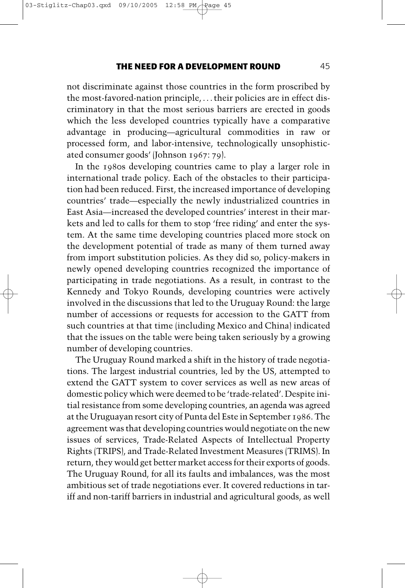not discriminate against those countries in the form proscribed by the most-favored-nation principle, . . . their policies are in effect discriminatory in that the most serious barriers are erected in goods which the less developed countries typically have a comparative advantage in producing—agricultural commodities in raw or processed form, and labor-intensive, technologically unsophisticated consumer goods' (Johnson 1967: 79).

In the 1980s developing countries came to play a larger role in international trade policy. Each of the obstacles to their participation had been reduced. First, the increased importance of developing countries' trade—especially the newly industrialized countries in East Asia—increased the developed countries' interest in their markets and led to calls for them to stop 'free riding' and enter the system. At the same time developing countries placed more stock on the development potential of trade as many of them turned away from import substitution policies. As they did so, policy-makers in newly opened developing countries recognized the importance of participating in trade negotiations. As a result, in contrast to the Kennedy and Tokyo Rounds, developing countries were actively involved in the discussions that led to the Uruguay Round: the large number of accessions or requests for accession to the GATT from such countries at that time (including Mexico and China) indicated that the issues on the table were being taken seriously by a growing number of developing countries.

The Uruguay Round marked a shift in the history of trade negotiations. The largest industrial countries, led by the US, attempted to extend the GATT system to cover services as well as new areas of domestic policy which were deemed to be 'trade-related'. Despite initial resistance from some developing countries, an agenda was agreed at the Uruguayan resort city of Punta del Este in September 1986. The agreement was that developing countries would negotiate on the new issues of services, Trade-Related Aspects of Intellectual Property Rights (TRIPS), and Trade-Related Investment Measures (TRIMS). In return, they would get better market access for their exports of goods. The Uruguay Round, for all its faults and imbalances, was the most ambitious set of trade negotiations ever. It covered reductions in tariff and non-tariff barriers in industrial and agricultural goods, as well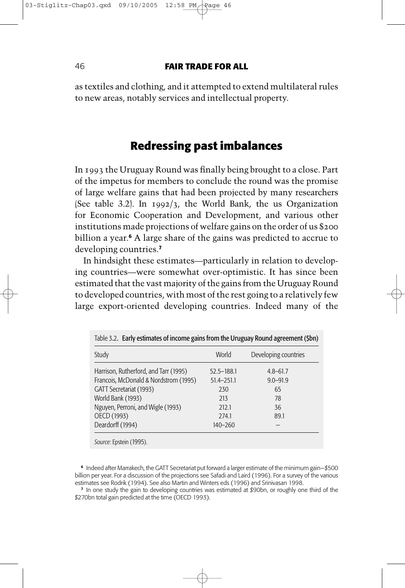as textiles and clothing, and it attempted to extend multilateral rules to new areas, notably services and intellectual property.

# **Redressing past imbalances**

In 1993 the Uruguay Round was finally being brought to a close. Part of the impetus for members to conclude the round was the promise of large welfare gains that had been projected by many researchers (See table 3.2). In 1992/3, the World Bank, the us Organization for Economic Cooperation and Development, and various other institutions made projections of welfare gains on the order of us \$200 billion a year.**<sup>6</sup>** A large share of the gains was predicted to accrue to developing countries.**<sup>7</sup>**

In hindsight these estimates—particularly in relation to developing countries—were somewhat over-optimistic. It has since been estimated that the vast majority of the gains from the Uruguay Round to developed countries, with most of the rest going to a relatively few large export-oriented developing countries. Indeed many of the

| Study                                 | World          | Developing countries |
|---------------------------------------|----------------|----------------------|
| Harrison, Rutherford, and Tarr (1995) | $52.5 - 188.1$ | $4.8 - 61.7$         |
| Francois, McDonald & Nordstrom (1995) | $51.4 - 251.1$ | $9.0 - 91.9$         |
| GATT Secretariat (1993)               | 230            | 65                   |
| World Bank (1993)                     | 213            | 78                   |
| Nguyen, Perroni, and Wigle (1993)     | 212.1          | 36                   |
| OECD (1993)                           | 274.1          | 89.1                 |
| Deardorff (1994)                      | $140 - 260$    |                      |

**<sup>6</sup>** Indeed after Marrakech, the GATT Secretariat put forward a larger estimate of the minimum gain—\$500 billion per year. For a discussion of the projections see Safadi and Laird (1996). For a survey of the various estimates see Rodrik (1994). See also Martin and Winters eds (1996) and Srinivasan 1998.

**<sup>7</sup>** In one study the gain to developing countries was estimated at \$90bn, or roughly one third of the \$270bn total gain predicted at the time (OECD 1993).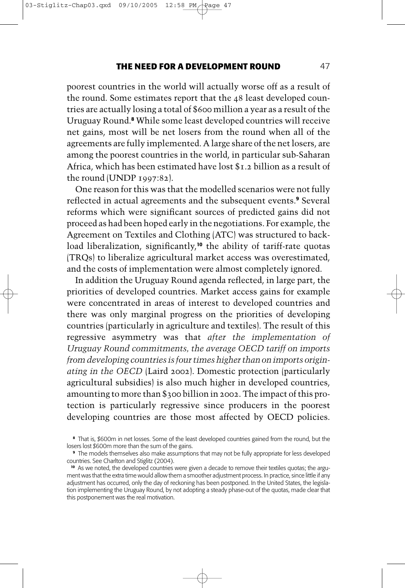03-Stiglitz-Chap03.qxd 09/10/2005

poorest countries in the world will actually worse off as a result of the round. Some estimates report that the 48 least developed countries are actually losing a total of \$600 million a year as a result of the Uruguay Round.**<sup>8</sup>** While some least developed countries will receive net gains, most will be net losers from the round when all of the agreements are fully implemented. A large share of the net losers, are among the poorest countries in the world, in particular sub-Saharan Africa, which has been estimated have lost \$1.2 billion as a result of the round (UNDP 1997:82).

One reason for this was that the modelled scenarios were not fully reflected in actual agreements and the subsequent events.**<sup>9</sup>** Several reforms which were significant sources of predicted gains did not proceed as had been hoped early in the negotiations. For example, the Agreement on Textiles and Clothing (ATC) was structured to backload liberalization, significantly,<sup>10</sup> the ability of tariff-rate quotas (TRQs) to liberalize agricultural market access was overestimated, and the costs of implementation were almost completely ignored.

In addition the Uruguay Round agenda reflected, in large part, the priorities of developed countries. Market access gains for example were concentrated in areas of interest to developed countries and there was only marginal progress on the priorities of developing countries (particularly in agriculture and textiles). The result of this regressive asymmetry was that *after the implementation of Uruguay Round commitments, the average OECD tariff on imports from developing countries is four times higher than on imports originating in the OECD* (Laird 2002). Domestic protection (particularly agricultural subsidies) is also much higher in developed countries, amounting to more than \$300 billion in 2002. The impact of this protection is particularly regressive since producers in the poorest developing countries are those most affected by OECD policies.

**<sup>8</sup>** That is, \$600m in net losses. Some of the least developed countries gained from the round, but the losers lost \$600m more than the sum of the gains.

**<sup>9</sup>** The models themselves also make assumptions that may not be fully appropriate for less developed countries. See Charlton and Stiglitz (2004).

<sup>&</sup>lt;sup>10</sup> As we noted, the developed countries were given a decade to remove their textiles quotas; the argument was that the extra time would allow them a smoother adjustment process. In practice, since little if any adjustment has occurred, only the day of reckoning has been postponed. In the United States, the legislation implementing the Uruguay Round, by not adopting a steady phase-out of the quotas, made clear that this postponement was the real motivation.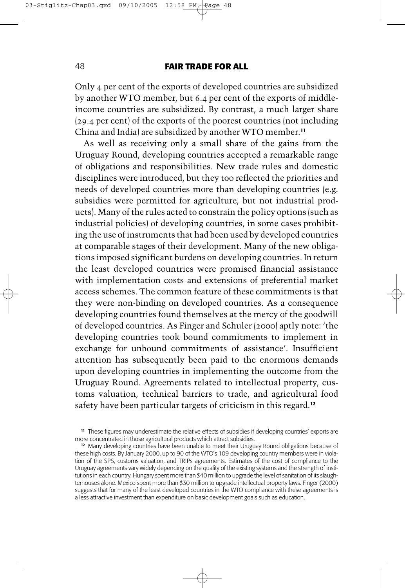Only 4 per cent of the exports of developed countries are subsidized by another WTO member, but 6.4 per cent of the exports of middleincome countries are subsidized. By contrast, a much larger share (29.4 per cent) of the exports of the poorest countries (not including China and India) are subsidized by another WTO member.**<sup>11</sup>**

As well as receiving only a small share of the gains from the Uruguay Round, developing countries accepted a remarkable range of obligations and responsibilities. New trade rules and domestic disciplines were introduced, but they too reflected the priorities and needs of developed countries more than developing countries (e.g. subsidies were permitted for agriculture, but not industrial products). Many of the rules acted to constrain the policy options (such as industrial policies) of developing countries, in some cases prohibiting the use of instruments that had been used by developed countries at comparable stages of their development. Many of the new obligations imposed significant burdens on developing countries. In return the least developed countries were promised financial assistance with implementation costs and extensions of preferential market access schemes. The common feature of these commitments is that they were non-binding on developed countries. As a consequence developing countries found themselves at the mercy of the goodwill of developed countries. As Finger and Schuler (2000) aptly note: 'the developing countries took bound commitments to implement in exchange for unbound commitments of assistance'. Insufficient attention has subsequently been paid to the enormous demands upon developing countries in implementing the outcome from the Uruguay Round. Agreements related to intellectual property, customs valuation, technical barriers to trade, and agricultural food safety have been particular targets of criticism in this regard.**<sup>12</sup>**

**<sup>11</sup>** These figures may underestimate the relative effects of subsidies if developing countries' exports are more concentrated in those agricultural products which attract subsidies.

**<sup>12</sup>** Many developing countries have been unable to meet their Uruguay Round obligations because of these high costs. By January 2000, up to 90 of the WTO's 109 developing country members were in violation of the SPS, customs valuation, and TRIPs agreements. Estimates of the cost of compliance to the Uruguay agreements vary widely depending on the quality of the existing systems and the strength of institutions in each country. Hungary spent more than \$40 million to upgrade the level of sanitation of its slaughterhouses alone. Mexico spent more than \$30 million to upgrade intellectual property laws. Finger (2000) suggests that for many of the least developed countries in the WTO compliance with these agreements is a less attractive investment than expenditure on basic development goals such as education.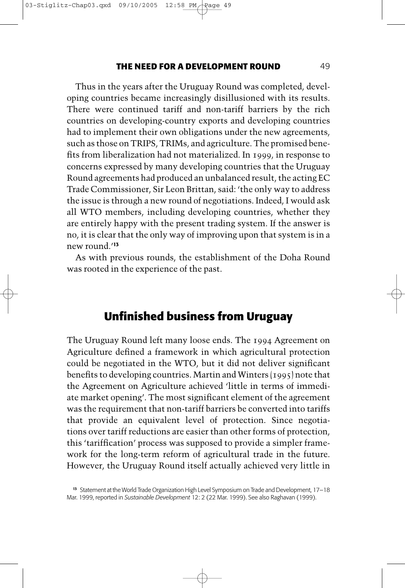Thus in the years after the Uruguay Round was completed, developing countries became increasingly disillusioned with its results. There were continued tariff and non-tariff barriers by the rich countries on developing-country exports and developing countries had to implement their own obligations under the new agreements, such as those on TRIPS, TRIMs, and agriculture. The promised benefits from liberalization had not materialized. In 1999, in response to concerns expressed by many developing countries that the Uruguay Round agreements had produced an unbalanced result, the acting EC Trade Commissioner, Sir Leon Brittan, said: 'the only way to address the issue is through a new round of negotiations. Indeed, I would ask all WTO members, including developing countries, whether they are entirely happy with the present trading system. If the answer is no, it is clear that the only way of improving upon that system is in a new round.'**<sup>13</sup>**

As with previous rounds, the establishment of the Doha Round was rooted in the experience of the past.

# **Unfinished business from Uruguay**

The Uruguay Round left many loose ends. The 1994 Agreement on Agriculture defined a framework in which agricultural protection could be negotiated in the WTO, but it did not deliver significant benefits to developing countries. Martin and Winters (1995) note that the Agreement on Agriculture achieved 'little in terms of immediate market opening'. The most significant element of the agreement was the requirement that non-tariff barriers be converted into tariffs that provide an equivalent level of protection. Since negotiations over tariff reductions are easier than other forms of protection, this 'tariffication' process was supposed to provide a simpler framework for the long-term reform of agricultural trade in the future. However, the Uruguay Round itself actually achieved very little in

**<sup>13</sup>** Statement at the World Trade Organization High Level Symposium on Trade and Development, 17–18 Mar. 1999, reported in *Sustainable Development* 12: 2 (22 Mar. 1999). See also Raghavan (1999).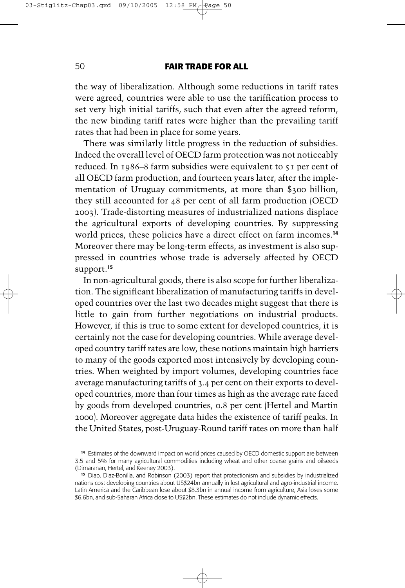the way of liberalization. Although some reductions in tariff rates were agreed, countries were able to use the tariffication process to set very high initial tariffs, such that even after the agreed reform, the new binding tariff rates were higher than the prevailing tariff rates that had been in place for some years.

There was similarly little progress in the reduction of subsidies. Indeed the overall level of OECD farm protection was not noticeably reduced. In 1986–8 farm subsidies were equivalent to 51 per cent of all OECD farm production, and fourteen years later, after the implementation of Uruguay commitments, at more than \$300 billion, they still accounted for 48 per cent of all farm production (OECD 2003). Trade-distorting measures of industrialized nations displace the agricultural exports of developing countries. By suppressing world prices, these policies have a direct effect on farm incomes.**<sup>14</sup>** Moreover there may be long-term effects, as investment is also suppressed in countries whose trade is adversely affected by OECD support.**<sup>15</sup>**

In non-agricultural goods, there is also scope for further liberalization. The significant liberalization of manufacturing tariffs in developed countries over the last two decades might suggest that there is little to gain from further negotiations on industrial products. However, if this is true to some extent for developed countries, it is certainly not the case for developing countries. While average developed country tariff rates are low, these notions maintain high barriers to many of the goods exported most intensively by developing countries. When weighted by import volumes, developing countries face average manufacturing tariffs of 3.4 per cent on their exports to developed countries, more than four times as high as the average rate faced by goods from developed countries, 0.8 per cent (Hertel and Martin 2000). Moreover aggregate data hides the existence of tariff peaks. In the United States, post-Uruguay-Round tariff rates on more than half

**<sup>14</sup>** Estimates of the downward impact on world prices caused by OECD domestic support are between 3.5 and 5% for many agricultural commodities including wheat and other coarse grains and oilseeds (Dimaranan, Hertel, and Keeney 2003).

**<sup>15</sup>** Diao, Diaz-Bonilla, and Robinson (2003) report that protectionism and subsidies by industrialized nations cost developing countries about US\$24bn annually in lost agricultural and agro-industrial income. Latin America and the Caribbean lose about \$8.3bn in annual income from agriculture, Asia loses some \$6.6bn, and sub-Saharan Africa close to US\$2bn. These estimates do not include dynamic effects.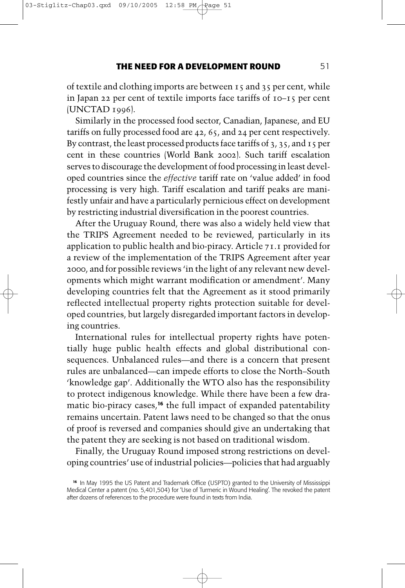03-Stiglitz-Chap03.qxd 09/10/2005

Similarly in the processed food sector, Canadian, Japanese, and EU tariffs on fully processed food are 42, 65, and 24 per cent respectively. By contrast, the least processed products face tariffs of 3, 35, and 15 per cent in these countries (World Bank 2002). Such tariff escalation serves to discourage the development of food processing in least developed countries since the *effective* tariff rate on 'value added' in food processing is very high. Tariff escalation and tariff peaks are manifestly unfair and have a particularly pernicious effect on development by restricting industrial diversification in the poorest countries.

After the Uruguay Round, there was also a widely held view that the TRIPS Agreement needed to be reviewed, particularly in its application to public health and bio-piracy. Article 71.1 provided for a review of the implementation of the TRIPS Agreement after year 2000, and for possible reviews 'in the light of any relevant new developments which might warrant modification or amendment'. Many developing countries felt that the Agreement as it stood primarily reflected intellectual property rights protection suitable for developed countries, but largely disregarded important factors in developing countries.

International rules for intellectual property rights have potentially huge public health effects and global distributional consequences. Unbalanced rules—and there is a concern that present rules are unbalanced—can impede efforts to close the North–South 'knowledge gap'. Additionally the WTO also has the responsibility to protect indigenous knowledge. While there have been a few dramatic bio-piracy cases,<sup>16</sup> the full impact of expanded patentability remains uncertain. Patent laws need to be changed so that the onus of proof is reversed and companies should give an undertaking that the patent they are seeking is not based on traditional wisdom.

Finally, the Uruguay Round imposed strong restrictions on developing countries' use of industrial policies—policies that had arguably

**<sup>16</sup>** In May 1995 the US Patent and Trademark Office (USPTO) granted to the University of Mississippi Medical Center a patent (no. 5,401,504) for 'Use of Turmeric in Wound Healing'. The revoked the patent after dozens of references to the procedure were found in texts from India.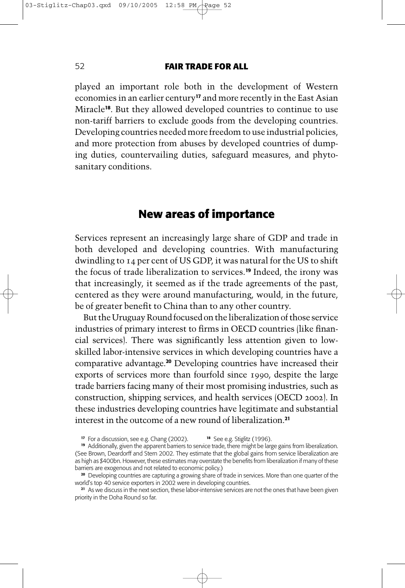played an important role both in the development of Western economies in an earlier century**<sup>17</sup>** and more recently in the East Asian Miracle**<sup>18</sup>**. But they allowed developed countries to continue to use non-tariff barriers to exclude goods from the developing countries. Developing countries needed more freedom to use industrial policies, and more protection from abuses by developed countries of dumping duties, countervailing duties, safeguard measures, and phytosanitary conditions.

## **New areas of importance**

Services represent an increasingly large share of GDP and trade in both developed and developing countries. With manufacturing dwindling to 14 per cent of US GDP, it was natural for the US to shift the focus of trade liberalization to services.**<sup>19</sup>** Indeed, the irony was that increasingly, it seemed as if the trade agreements of the past, centered as they were around manufacturing, would, in the future, be of greater benefit to China than to any other country.

But the Uruguay Round focused on the liberalization of those service industries of primary interest to firms in OECD countries (like financial services). There was significantly less attention given to lowskilled labor-intensive services in which developing countries have a comparative advantage.**<sup>20</sup>** Developing countries have increased their exports of services more than fourfold since 1990, despite the large trade barriers facing many of their most promising industries, such as construction, shipping services, and health services (OECD 2002). In these industries developing countries have legitimate and substantial interest in the outcome of a new round of liberalization.**<sup>21</sup>**

**<sup>17</sup>** For a discussion, see e.g. Chang (2002). **<sup>18</sup>** See e.g. Stiglitz (1996).

**<sup>19</sup>** Additionally, given the apparent barriers to service trade, there might be large gains from liberalization. (See Brown, Deardorff and Stern 2002. They estimate that the global gains from service liberalization are as high as \$400bn. However, these estimates may overstate the benefits from liberalization if many of these barriers are exogenous and not related to economic policy.)

**<sup>20</sup>** Developing countries are capturing a growing share of trade in services. More than one quarter of the world's top 40 service exporters in 2002 were in developing countries.

**<sup>21</sup>** As we discuss in the next section, these labor-intensive services are not the ones that have been given priority in the Doha Round so far.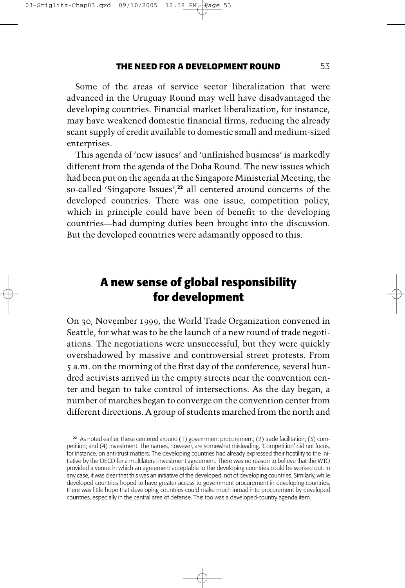Some of the areas of service sector liberalization that were advanced in the Uruguay Round may well have disadvantaged the developing countries. Financial market liberalization, for instance, may have weakened domestic financial firms, reducing the already scant supply of credit available to domestic small and medium-sized enterprises.

This agenda of 'new issues' and 'unfinished business' is markedly different from the agenda of the Doha Round. The new issues which had been put on the agenda at the Singapore Ministerial Meeting, the so-called 'Singapore Issues',**<sup>22</sup>** all centered around concerns of the developed countries. There was one issue, competition policy, which in principle could have been of benefit to the developing countries—had dumping duties been brought into the discussion. But the developed countries were adamantly opposed to this.

# **A new sense of global responsibility for development**

On 30, November 1999, the World Trade Organization convened in Seattle, for what was to be the launch of a new round of trade negotiations. The negotiations were unsuccessful, but they were quickly overshadowed by massive and controversial street protests. From 5 a.m. on the morning of the first day of the conference, several hundred activists arrived in the empty streets near the convention center and began to take control of intersections. As the day began, a number of marches began to converge on the convention center from different directions. A group of students marched from the north and

**<sup>22</sup>** As noted earlier, these centered around (1) government procurement; (2) trade facilitation; (3) competition; and (4) investment. The names, however, are somewhat misleading. 'Competition' did not focus, for instance, on anti-trust matters. The developing countries had already expressed their hostility to the initiative by the OECD for a multilateral investment agreement. There was no reason to believe that the WTO provided a venue in which an agreement acceptable to the developing countries could be worked out. In any case, it was clear that this was an initiative of the developed, not of developing countries. Similarly, while developed countries hoped to have greater access to government procurement in developing countries, there was little hope that developing countries could make much inroad into procurement by developed countries, especially in the central area of defense. This too was a developed-country agenda item.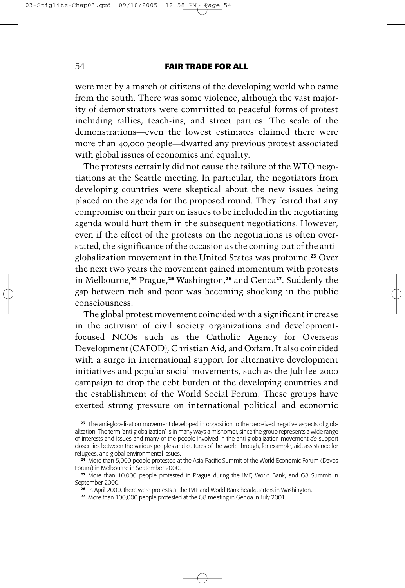were met by a march of citizens of the developing world who came from the south. There was some violence, although the vast majority of demonstrators were committed to peaceful forms of protest including rallies, teach-ins, and street parties. The scale of the demonstrations—even the lowest estimates claimed there were more than 40,000 people—dwarfed any previous protest associated with global issues of economics and equality.

The protests certainly did not cause the failure of the WTO negotiations at the Seattle meeting. In particular, the negotiators from developing countries were skeptical about the new issues being placed on the agenda for the proposed round. They feared that any compromise on their part on issues to be included in the negotiating agenda would hurt them in the subsequent negotiations. However, even if the effect of the protests on the negotiations is often overstated, the significance of the occasion as the coming-out of the antiglobalization movement in the United States was profound.**<sup>23</sup>** Over the next two years the movement gained momentum with protests in Melbourne,**<sup>24</sup>** Prague,**<sup>25</sup>** Washington,**<sup>26</sup>** and Genoa**<sup>27</sup>**. Suddenly the gap between rich and poor was becoming shocking in the public consciousness.

The global protest movement coincided with a significant increase in the activism of civil society organizations and developmentfocused NGOs such as the Catholic Agency for Overseas Development (CAFOD), Christian Aid, and Oxfam. It also coincided with a surge in international support for alternative development initiatives and popular social movements, such as the Jubilee 2000 campaign to drop the debt burden of the developing countries and the establishment of the World Social Forum. These groups have exerted strong pressure on international political and economic

**<sup>27</sup>** More than 100,000 people protested at the G8 meeting in Genoa in July 2001.

<sup>&</sup>lt;sup>23</sup> The anti-globalization movement developed in opposition to the perceived negative aspects of globalization. The term 'anti-globalization' is in many ways a misnomer, since the group represents a wide range of interests and issues and many of the people involved in the anti-globalization movement *do* support closer ties between the various peoples and cultures of the world through, for example, aid, assistance for refugees, and global environmental issues.

<sup>&</sup>lt;sup>24</sup> More than 5,000 people protested at the Asia-Pacific Summit of the World Economic Forum (Davos Forum) in Melbourne in September 2000.

**<sup>25</sup>** More than 10,000 people protested in Prague during the IMF, World Bank, and G8 Summit in September 2000.

**<sup>26</sup>** In April 2000, there were protests at the IMF and World Bank headquarters in Washington.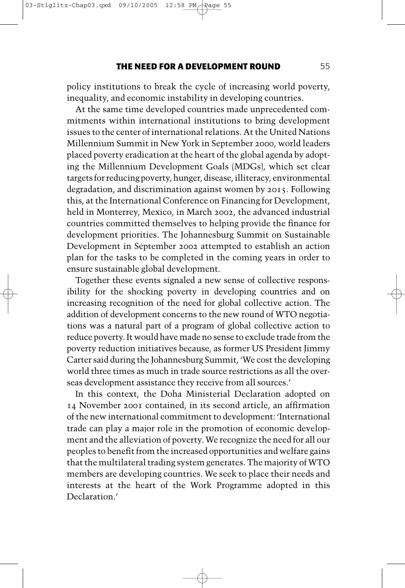03-Stiglitz-Chap03.qxd 09/10/2005 12:58 PM Rage 55

policy institutions to break the cycle of increasing world poverty, inequality, and economic instability in developing countries.

At the same time developed countries made unprecedented commitments within international institutions to bring development issues to the center of international relations. At the United Nations Millennium Summit in New York in September 2000, world leaders placed poverty eradication at the heart of the global agenda by adopting the Millennium Development Goals (MDGs), which set clear targets for reducing poverty, hunger, disease, illiteracy, environmental degradation, and discrimination against women by 2015. Following this, at the International Conference on Financing for Development, held in Monterrey, Mexico, in March 2002, the advanced industrial countries committed themselves to helping provide the finance for development priorities. The Johannesburg Summit on Sustainable Development in September 2002 attempted to establish an action plan for the tasks to be completed in the coming years in order to ensure sustainable global development.

Together these events signaled a new sense of collective responsibility for the shocking poverty in developing countries and on increasing recognition of the need for global collective action. The addition of development concerns to the new round of WTO negotiations was a natural part of a program of global collective action to reduce poverty. It would have made no sense to exclude trade from the poverty reduction initiatives because, as former US President Jimmy Carter said during the Johannesburg Summit, 'We cost the developing world three times as much in trade source restrictions as all the overseas development assistance they receive from all sources.'

In this context, the Doha Ministerial Declaration adopted on 14 November 2001 contained, in its second article, an affirmation of the new international commitment to development: 'International trade can play a major role in the promotion of economic development and the alleviation of poverty. We recognize the need for all our peoples to benefit from the increased opportunities and welfare gains that the multilateral trading system generates. The majority of WTO members are developing countries. We seek to place their needs and interests at the heart of the Work Programme adopted in this Declaration.'